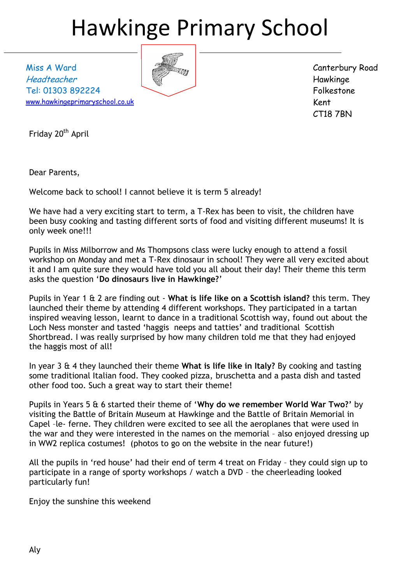# Hawkinge Primary School

Miss A Ward Headteacher Tel: 01303 892224 [www.hawkingeprimaryschool.co.uk](http://www.hawkingeprimaryschool.co.uk/)



Canterbury Road Hawkinge Folkestone Kent CT18 7BN

Friday 20<sup>th</sup> April

Dear Parents,

Welcome back to school! I cannot believe it is term 5 already!

We have had a very exciting start to term, a T-Rex has been to visit, the children have been busy cooking and tasting different sorts of food and visiting different museums! It is only week one!!!

Pupils in Miss Milborrow and Ms Thompsons class were lucky enough to attend a fossil workshop on Monday and met a T-Rex dinosaur in school! They were all very excited about it and I am quite sure they would have told you all about their day! Their theme this term asks the question '**Do dinosaurs live in Hawkinge?**'

Pupils in Year 1 & 2 are finding out - **What is life like on a Scottish island?** this term. They launched their theme by attending 4 different workshops. They participated in a tartan inspired weaving lesson, learnt to dance in a traditional Scottish way, found out about the Loch Ness monster and tasted 'haggis neeps and tatties' and traditional Scottish Shortbread. I was really surprised by how many children told me that they had enjoyed the haggis most of all!

In year 3 & 4 they launched their theme **What is life like in Italy?** By cooking and tasting some traditional Italian food. They cooked pizza, bruschetta and a pasta dish and tasted other food too. Such a great way to start their theme!

Pupils in Years 5 & 6 started their theme of '**Why do we remember World War Two?'** by visiting the Battle of Britain Museum at Hawkinge and the Battle of Britain Memorial in Capel –le- ferne. They children were excited to see all the aeroplanes that were used in the war and they were interested in the names on the memorial – also enjoyed dressing up in WW2 replica costumes! (photos to go on the website in the near future!)

All the pupils in 'red house' had their end of term 4 treat on Friday – they could sign up to participate in a range of sporty workshops / watch a DVD – the cheerleading looked particularly fun!

Enjoy the sunshine this weekend